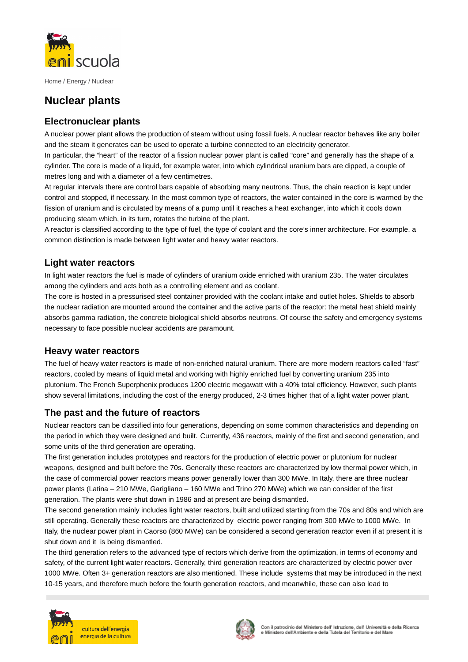

Home / Energy / Nuclear

# **Nuclear plants**

## **Electronuclear plants**

A nuclear power plant allows the production of steam without using fossil fuels. A nuclear reactor behaves like any boiler and the steam it generates can be used to operate a turbine connected to an electricity generator.

In particular, the "heart" of the reactor of a fission nuclear power plant is called "core" and generally has the shape of a cylinder. The core is made of a liquid, for example water, into which cylindrical uranium bars are dipped, a couple of metres long and with a diameter of a few centimetres.

At regular intervals there are control bars capable of absorbing many neutrons. Thus, the chain reaction is kept under control and stopped, if necessary. In the most common type of reactors, the water contained in the core is warmed by the fission of uranium and is circulated by means of a pump until it reaches a heat exchanger, into which it cools down producing steam which, in its turn, rotates the turbine of the plant.

A reactor is classified according to the type of fuel, the type of coolant and the core's inner architecture. For example, a common distinction is made between light water and heavy water reactors.

### **Light water reactors**

In light water reactors the fuel is made of cylinders of uranium oxide enriched with uranium 235. The water circulates among the cylinders and acts both as a controlling element and as coolant.

The core is hosted in a pressurised steel container provided with the coolant intake and outlet holes. Shields to absorb the nuclear radiation are mounted around the container and the active parts of the reactor: the metal heat shield mainly absorbs gamma radiation, the concrete biological shield absorbs neutrons. Of course the safety and emergency systems necessary to face possible nuclear accidents are paramount.

#### **Heavy water reactors**

The fuel of heavy water reactors is made of non-enriched natural uranium. There are more modern reactors called "fast" reactors, cooled by means of liquid metal and working with highly enriched fuel by converting uranium 235 into plutonium. The French Superphenix produces 1200 electric megawatt with a 40% total efficiency. However, such plants show several limitations, including the cost of the energy produced, 2-3 times higher that of a light water power plant.

#### **The past and the future of reactors**

Nuclear reactors can be classified into four generations, depending on some common characteristics and depending on the period in which they were designed and built. Currently, 436 reactors, mainly of the first and second generation, and some units of the third generation are operating.

The first generation includes prototypes and reactors for the production of electric power or plutonium for nuclear weapons, designed and built before the 70s. Generally these reactors are characterized by low thermal power which, in the case of commercial power reactors means power generally lower than 300 MWe. In Italy, there are three nuclear power plants (Latina – 210 MWe, Garigliano – 160 MWe and Trino 270 MWe) which we can consider of the first generation. The plants were shut down in 1986 and at present are being dismantled.

The second generation mainly includes light water reactors, built and utilized starting from the 70s and 80s and which are still operating. Generally these reactors are characterized by electric power ranging from 300 MWe to 1000 MWe. In Italy, the nuclear power plant in Caorso (860 MWe) can be considered a second generation reactor even if at present it is shut down and it is being dismantled.

The third generation refers to the advanced type of rectors which derive from the optimization, in terms of economy and safety, of the current light water reactors. Generally, third generation reactors are characterized by electric power over 1000 MWe. Often 3+ generation reactors are also mentioned. These include systems that may be introduced in the next 10-15 years, and therefore much before the fourth generation reactors, and meanwhile, these can also lead to